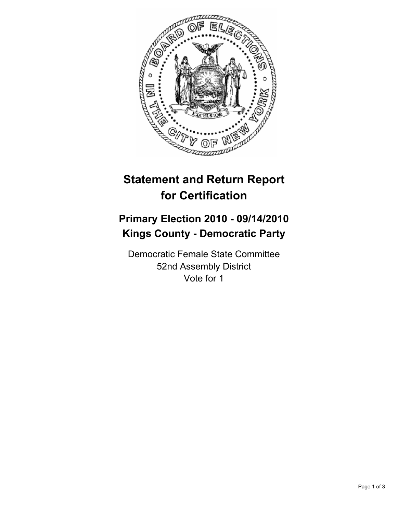

## **Statement and Return Report for Certification**

## **Primary Election 2010 - 09/14/2010 Kings County - Democratic Party**

Democratic Female State Committee 52nd Assembly District Vote for 1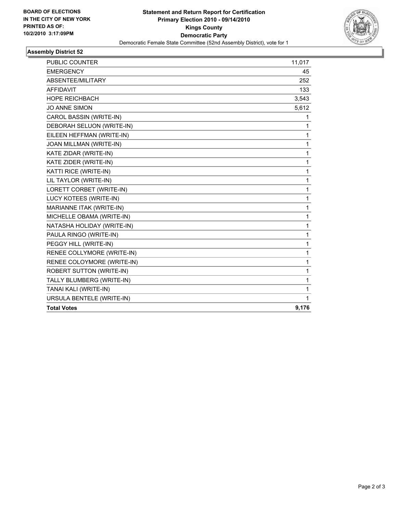

## **Assembly District 52**

| <b>PUBLIC COUNTER</b>           | 11,017 |
|---------------------------------|--------|
| <b>EMERGENCY</b>                | 45     |
| ABSENTEE/MILITARY               | 252    |
| <b>AFFIDAVIT</b>                | 133    |
| <b>HOPE REICHBACH</b>           | 3,543  |
| <b>JO ANNE SIMON</b>            | 5,612  |
| CAROL BASSIN (WRITE-IN)         | 1.     |
| DEBORAH SELUON (WRITE-IN)       | 1      |
| EILEEN HEFFMAN (WRITE-IN)       | 1      |
| JOAN MILLMAN (WRITE-IN)         | 1      |
| KATE ZIDAR (WRITE-IN)           | 1      |
| KATE ZIDER (WRITE-IN)           | 1      |
| KATTI RICE (WRITE-IN)           | 1      |
| LIL TAYLOR (WRITE-IN)           | 1      |
| LORETT CORBET (WRITE-IN)        | 1      |
| LUCY KOTEES (WRITE-IN)          | 1      |
| MARIANNE ITAK (WRITE-IN)        | 1      |
| MICHELLE OBAMA (WRITE-IN)       | 1      |
| NATASHA HOLIDAY (WRITE-IN)      | 1      |
| PAULA RINGO (WRITE-IN)          | 1      |
| PEGGY HILL (WRITE-IN)           | 1      |
| RENEE COLLYMORE (WRITE-IN)      | 1      |
| RENEE COLOYMORE (WRITE-IN)      | 1      |
| <b>ROBERT SUTTON (WRITE-IN)</b> | 1      |
| TALLY BLUMBERG (WRITE-IN)       | 1      |
| TANAI KALI (WRITE-IN)           | 1      |
| URSULA BENTELE (WRITE-IN)       | 1      |
| <b>Total Votes</b>              | 9,176  |